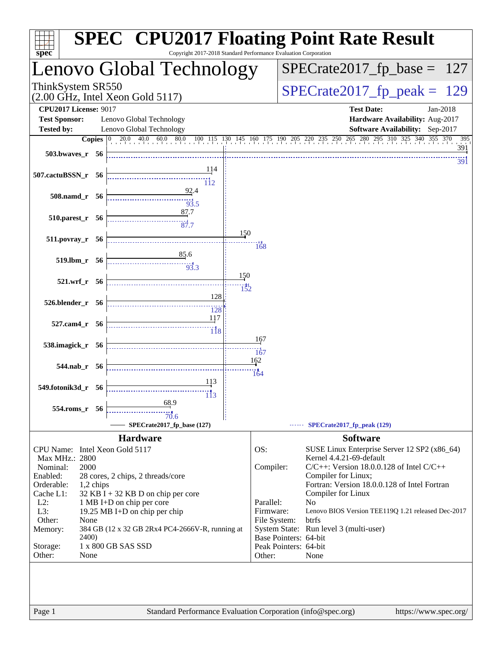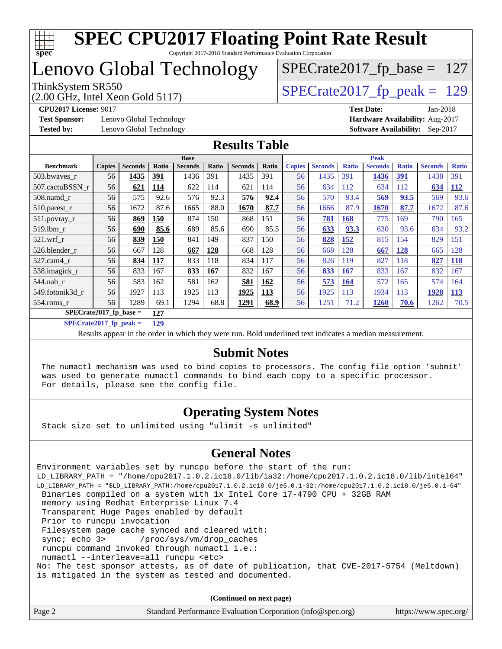

### Lenovo Global Technology

(2.00 GHz, Intel Xeon Gold 5117)

ThinkSystem SR550<br>(2.00 GHz, Intel Xeon Gold 5117) [SPECrate2017\\_fp\\_peak =](http://www.spec.org/auto/cpu2017/Docs/result-fields.html#SPECrate2017fppeak) 129

[SPECrate2017\\_fp\\_base =](http://www.spec.org/auto/cpu2017/Docs/result-fields.html#SPECrate2017fpbase) 127

**[Test Sponsor:](http://www.spec.org/auto/cpu2017/Docs/result-fields.html#TestSponsor)** Lenovo Global Technology **[Hardware Availability:](http://www.spec.org/auto/cpu2017/Docs/result-fields.html#HardwareAvailability)** Aug-2017 **[Tested by:](http://www.spec.org/auto/cpu2017/Docs/result-fields.html#Testedby)** Lenovo Global Technology **[Software Availability:](http://www.spec.org/auto/cpu2017/Docs/result-fields.html#SoftwareAvailability)** Sep-2017

**[CPU2017 License:](http://www.spec.org/auto/cpu2017/Docs/result-fields.html#CPU2017License)** 9017 **[Test Date:](http://www.spec.org/auto/cpu2017/Docs/result-fields.html#TestDate)** Jan-2018

#### **[Results Table](http://www.spec.org/auto/cpu2017/Docs/result-fields.html#ResultsTable)**

|                                 | <b>Base</b>   |                |            |                |       |                | <b>Peak</b> |               |                |              |                |              |                |              |
|---------------------------------|---------------|----------------|------------|----------------|-------|----------------|-------------|---------------|----------------|--------------|----------------|--------------|----------------|--------------|
| <b>Benchmark</b>                | <b>Copies</b> | <b>Seconds</b> | Ratio      | <b>Seconds</b> | Ratio | <b>Seconds</b> | Ratio       | <b>Copies</b> | <b>Seconds</b> | <b>Ratio</b> | <b>Seconds</b> | <b>Ratio</b> | <b>Seconds</b> | <b>Ratio</b> |
| 503.bwayes_r                    | 56            | 1435           | <u>391</u> | 1436           | 391   | 1435           | 391         | 56            | 1435           | 391          | 1436           | 391          | 1438           | 391          |
| 507.cactuBSSN r                 | 56            | 621            | 114        | 622            | 114   | 621            | 114         | 56            | 634            | 112          | 634            | 112          | 634            | <b>112</b>   |
| 508.namd_r                      | 56            | 575            | 92.6       | 576            | 92.3  | 576            | 92.4        | 56            | 570            | 93.4         | 569            | 93.5         | 569            | 93.6         |
| $510.parest_r$                  | 56            | 1672           | 87.6       | 1665           | 88.0  | 1670           | 87.7        | 56            | 1666           | 87.9         | 1670           | 87.7         | 1672           | 87.6         |
| 511.povray_r                    | 56            | 869            | 150        | 874            | 150   | 868            | 151         | 56            | 781            | 168          | 775            | 169          | 790            | 165          |
| $519$ .lbm $r$                  | 56            | 690            | 85.6       | 689            | 85.6  | 690            | 85.5        | 56            | 633            | 93.3         | 630            | 93.6         | 634            | 93.2         |
| $521$ .wrf r                    | 56            | 839            | 150        | 841            | 149   | 837            | 150         | 56            | 828            | 152          | 815            | 154          | 829            | 151          |
| 526.blender r                   | 56            | 667            | 128        | 667            | 128   | 668            | 128         | 56            | 668            | 128          | 667            | 128          | 665            | 128          |
| 527.cam4_r                      | 56            | 834            | 117        | 833            | 118   | 834            | 117         | 56            | 826            | 119          | 827            | 118          | 827            | <u>118</u>   |
| 538.imagick_r                   | 56            | 833            | 167        | 833            | 167   | 832            | 167         | 56            | 833            | 167          | 833            | 167          | 832            | 167          |
| 544.nab r                       | 56            | 583            | 162        | 581            | 162   | 581            | 162         | 56            | 573            | <b>164</b>   | 572            | 165          | 574            | 164          |
| 549.fotonik3d r                 | 56            | 1927           | 113        | 1925           | 113   | 1925           | 113         | 56            | 1925           | 113          | 1934           | 113          | 1928           | 113          |
| $554$ .roms $r$                 | 56            | 1289           | 69.1       | 1294           | 68.8  | 1291           | 68.9        | 56            | 1251           | 71.2         | <b>1260</b>    | 70.6         | 1262           | 70.5         |
| $SPECrate2017$ fp base =<br>127 |               |                |            |                |       |                |             |               |                |              |                |              |                |              |

**[SPECrate2017\\_fp\\_peak =](http://www.spec.org/auto/cpu2017/Docs/result-fields.html#SPECrate2017fppeak) 129**

Results appear in the [order in which they were run.](http://www.spec.org/auto/cpu2017/Docs/result-fields.html#RunOrder) Bold underlined text [indicates a median measurement.](http://www.spec.org/auto/cpu2017/Docs/result-fields.html#Median)

#### **[Submit Notes](http://www.spec.org/auto/cpu2017/Docs/result-fields.html#SubmitNotes)**

 The numactl mechanism was used to bind copies to processors. The config file option 'submit' was used to generate numactl commands to bind each copy to a specific processor. For details, please see the config file.

#### **[Operating System Notes](http://www.spec.org/auto/cpu2017/Docs/result-fields.html#OperatingSystemNotes)**

Stack size set to unlimited using "ulimit -s unlimited"

#### **[General Notes](http://www.spec.org/auto/cpu2017/Docs/result-fields.html#GeneralNotes)**

Environment variables set by runcpu before the start of the run: LD\_LIBRARY\_PATH = "/home/cpu2017.1.0.2.ic18.0/lib/ia32:/home/cpu2017.1.0.2.ic18.0/lib/intel64" LD\_LIBRARY\_PATH = "\$LD\_LIBRARY\_PATH:/home/cpu2017.1.0.2.ic18.0/je5.0.1-32:/home/cpu2017.1.0.2.ic18.0/je5.0.1-64" Binaries compiled on a system with 1x Intel Core i7-4790 CPU + 32GB RAM memory using Redhat Enterprise Linux 7.4 Transparent Huge Pages enabled by default Prior to runcpu invocation Filesystem page cache synced and cleared with: sync; echo 3> /proc/sys/vm/drop\_caches runcpu command invoked through numactl i.e.: numactl --interleave=all runcpu <etc> No: The test sponsor attests, as of date of publication, that CVE-2017-5754 (Meltdown) is mitigated in the system as tested and documented.

**(Continued on next page)**

| Standard Performance Evaluation Corporation (info@spec.org)<br>Page 2 | https://www.spec.org/ |
|-----------------------------------------------------------------------|-----------------------|
|-----------------------------------------------------------------------|-----------------------|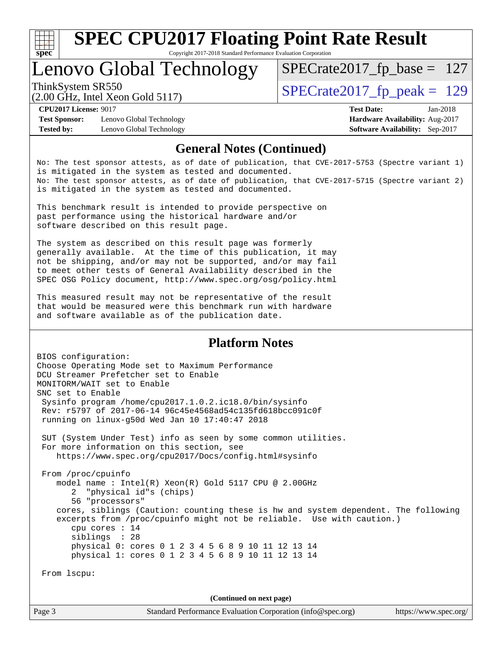

Copyright 2017-2018 Standard Performance Evaluation Corporation

### Lenovo Global Technology

ThinkSystem SR550<br>  $\overline{SPEC}$ rate2017\_fp\_peak = 129

[SPECrate2017\\_fp\\_base =](http://www.spec.org/auto/cpu2017/Docs/result-fields.html#SPECrate2017fpbase) 127

(2.00 GHz, Intel Xeon Gold 5117)

**[Tested by:](http://www.spec.org/auto/cpu2017/Docs/result-fields.html#Testedby)** Lenovo Global Technology **[Software Availability:](http://www.spec.org/auto/cpu2017/Docs/result-fields.html#SoftwareAvailability)** Sep-2017

**[CPU2017 License:](http://www.spec.org/auto/cpu2017/Docs/result-fields.html#CPU2017License)** 9017 **[Test Date:](http://www.spec.org/auto/cpu2017/Docs/result-fields.html#TestDate)** Jan-2018 **[Test Sponsor:](http://www.spec.org/auto/cpu2017/Docs/result-fields.html#TestSponsor)** Lenovo Global Technology **[Hardware Availability:](http://www.spec.org/auto/cpu2017/Docs/result-fields.html#HardwareAvailability)** Aug-2017

#### **[General Notes \(Continued\)](http://www.spec.org/auto/cpu2017/Docs/result-fields.html#GeneralNotes)**

No: The test sponsor attests, as of date of publication, that CVE-2017-5753 (Spectre variant 1) is mitigated in the system as tested and documented. No: The test sponsor attests, as of date of publication, that CVE-2017-5715 (Spectre variant 2) is mitigated in the system as tested and documented.

This benchmark result is intended to provide perspective on past performance using the historical hardware and/or software described on this result page.

The system as described on this result page was formerly generally available. At the time of this publication, it may not be shipping, and/or may not be supported, and/or may fail to meet other tests of General Availability described in the SPEC OSG Policy document, <http://www.spec.org/osg/policy.html>

This measured result may not be representative of the result that would be measured were this benchmark run with hardware and software available as of the publication date.

#### **[Platform Notes](http://www.spec.org/auto/cpu2017/Docs/result-fields.html#PlatformNotes)**

BIOS configuration: Choose Operating Mode set to Maximum Performance DCU Streamer Prefetcher set to Enable MONITORM/WAIT set to Enable SNC set to Enable Sysinfo program /home/cpu2017.1.0.2.ic18.0/bin/sysinfo Rev: r5797 of 2017-06-14 96c45e4568ad54c135fd618bcc091c0f running on linux-g50d Wed Jan 10 17:40:47 2018 SUT (System Under Test) info as seen by some common utilities. For more information on this section, see <https://www.spec.org/cpu2017/Docs/config.html#sysinfo> From /proc/cpuinfo model name : Intel(R) Xeon(R) Gold 5117 CPU @ 2.00GHz 2 "physical id"s (chips) 56 "processors" cores, siblings (Caution: counting these is hw and system dependent. The following excerpts from /proc/cpuinfo might not be reliable. Use with caution.) cpu cores : 14 siblings : 28 physical 0: cores 0 1 2 3 4 5 6 8 9 10 11 12 13 14 physical 1: cores 0 1 2 3 4 5 6 8 9 10 11 12 13 14 From lscpu: **(Continued on next page)**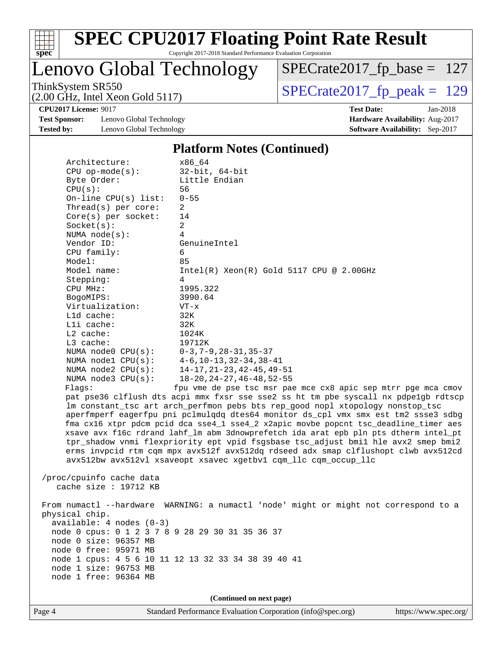

### Lenovo Global Technology

ThinkSystem SR550<br>  $(2.00 \text{ GHz})$  Intel Xeon Gold 5117) [SPECrate2017\\_fp\\_base =](http://www.spec.org/auto/cpu2017/Docs/result-fields.html#SPECrate2017fpbase) 127

(2.00 GHz, Intel Xeon Gold 5117)

**[Test Sponsor:](http://www.spec.org/auto/cpu2017/Docs/result-fields.html#TestSponsor)** Lenovo Global Technology **[Hardware Availability:](http://www.spec.org/auto/cpu2017/Docs/result-fields.html#HardwareAvailability)** Aug-2017 **[Tested by:](http://www.spec.org/auto/cpu2017/Docs/result-fields.html#Testedby)** Lenovo Global Technology **[Software Availability:](http://www.spec.org/auto/cpu2017/Docs/result-fields.html#SoftwareAvailability)** Sep-2017

**[CPU2017 License:](http://www.spec.org/auto/cpu2017/Docs/result-fields.html#CPU2017License)** 9017 **[Test Date:](http://www.spec.org/auto/cpu2017/Docs/result-fields.html#TestDate)** Jan-2018

#### **[Platform Notes \(Continued\)](http://www.spec.org/auto/cpu2017/Docs/result-fields.html#PlatformNotes)**

| Architecture:                                   | x86 64                                                                               |
|-------------------------------------------------|--------------------------------------------------------------------------------------|
| $CPU$ op-mode( $s$ ):                           | $32$ -bit, $64$ -bit                                                                 |
| Byte Order:                                     | Little Endian                                                                        |
| CPU(s):                                         | 56                                                                                   |
| On-line CPU(s) list:                            | $0 - 55$                                                                             |
| Thread( $s$ ) per core:                         | $\overline{2}$                                                                       |
| Core(s) per socket:                             | 14                                                                                   |
| Socket(s):                                      | $\overline{2}$                                                                       |
| NUMA $node(s)$ :                                | 4                                                                                    |
| Vendor ID:                                      | GenuineIntel                                                                         |
| CPU family:                                     | 6                                                                                    |
| Model:                                          | 85                                                                                   |
| Model name:                                     | $Intel(R)$ Xeon $(R)$ Gold 5117 CPU @ 2.00GHz                                        |
| Stepping:                                       | 4                                                                                    |
| CPU MHz:                                        | 1995.322                                                                             |
| BogoMIPS:                                       | 3990.64                                                                              |
| Virtualization:                                 | $VT - x$                                                                             |
| L1d cache:                                      | 32K                                                                                  |
| Lli cache:                                      | 32K                                                                                  |
| L2 cache:                                       | 1024K                                                                                |
| $L3$ cache:                                     | 19712K                                                                               |
| NUMA node0 CPU(s):                              | $0-3, 7-9, 28-31, 35-37$                                                             |
| NUMA nodel $CPU(s):$                            | 4-6,10-13,32-34,38-41                                                                |
| NUMA $node2$ $CPU(s):$                          | $14-17, 21-23, 42-45, 49-51$                                                         |
| NUMA $node3$ $CPU(s):$                          | $18 - 20$ , $24 - 27$ , $46 - 48$ , $52 - 55$                                        |
| Flaqs:                                          | fpu vme de pse tsc msr pae mce cx8 apic sep mtrr pge mca cmov                        |
|                                                 | pat pse36 clflush dts acpi mmx fxsr sse sse2 ss ht tm pbe syscall nx pdpelgb rdtscp  |
|                                                 | lm constant_tsc art arch_perfmon pebs bts rep_good nopl xtopology nonstop_tsc        |
|                                                 | aperfmperf eagerfpu pni pclmulqdq dtes64 monitor ds_cpl vmx smx est tm2 ssse3 sdbg   |
|                                                 | fma cx16 xtpr pdcm pcid dca sse4_1 sse4_2 x2apic movbe popcnt tsc_deadline_timer aes |
|                                                 | xsave avx f16c rdrand lahf_lm abm 3dnowprefetch ida arat epb pln pts dtherm intel_pt |
|                                                 | tpr_shadow vnmi flexpriority ept vpid fsgsbase tsc_adjust bmil hle avx2 smep bmi2    |
|                                                 | erms invpcid rtm cqm mpx avx512f avx512dq rdseed adx smap clflushopt clwb avx512cd   |
|                                                 | avx512bw avx512vl xsaveopt xsavec xgetbvl cqm_llc cqm_occup_llc                      |
|                                                 |                                                                                      |
| /proc/cpuinfo cache data                        |                                                                                      |
| cache size : 19712 KB                           |                                                                                      |
|                                                 |                                                                                      |
|                                                 | From numactl --hardware WARNING: a numactl 'node' might or might not correspond to a |
| physical chip.                                  |                                                                                      |
| $available: 4 nodes (0-3)$                      |                                                                                      |
| node 0 cpus: 0 1 2 3 7 8 9 28 29 30 31 35 36 37 |                                                                                      |

 node 0 size: 96357 MB node 0 free: 95971 MB node 1 cpus: 4 5 6 10 11 12 13 32 33 34 38 39 40 41 node 1 size: 96753 MB

**(Continued on next page)**

node 1 free: 96364 MB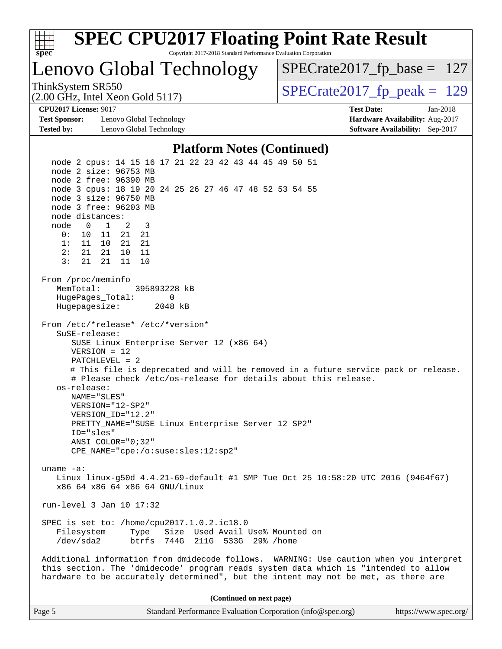

| Page 5 | Standard Performance Evaluation Corporation (info@spec.org) | https://www.spec.org/ |
|--------|-------------------------------------------------------------|-----------------------|
|        |                                                             |                       |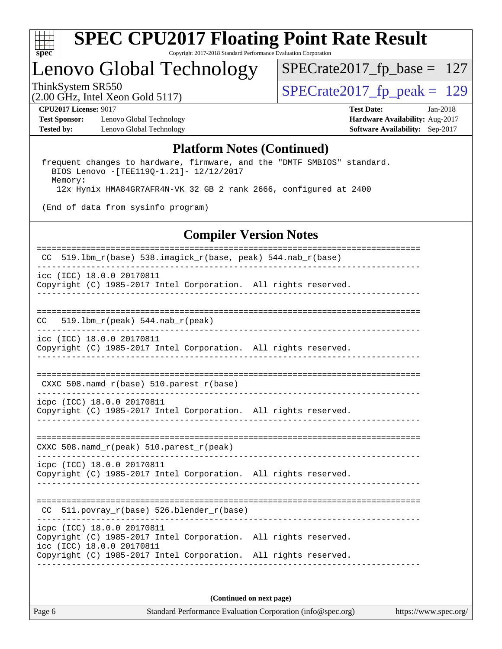

### Lenovo Global Technology

ThinkSystem SR550<br>  $\log_{10.00 \text{ GHz}}$  Think Yearly Gald 5117) [SPECrate2017\\_fp\\_base =](http://www.spec.org/auto/cpu2017/Docs/result-fields.html#SPECrate2017fpbase) 127

(2.00 GHz, Intel Xeon Gold 5117)

**[Test Sponsor:](http://www.spec.org/auto/cpu2017/Docs/result-fields.html#TestSponsor)** Lenovo Global Technology **[Hardware Availability:](http://www.spec.org/auto/cpu2017/Docs/result-fields.html#HardwareAvailability)** Aug-2017 **[Tested by:](http://www.spec.org/auto/cpu2017/Docs/result-fields.html#Testedby)** Lenovo Global Technology **[Software Availability:](http://www.spec.org/auto/cpu2017/Docs/result-fields.html#SoftwareAvailability)** Sep-2017

**[CPU2017 License:](http://www.spec.org/auto/cpu2017/Docs/result-fields.html#CPU2017License)** 9017 **[Test Date:](http://www.spec.org/auto/cpu2017/Docs/result-fields.html#TestDate)** Jan-2018

#### **[Platform Notes \(Continued\)](http://www.spec.org/auto/cpu2017/Docs/result-fields.html#PlatformNotes)**

 frequent changes to hardware, firmware, and the "DMTF SMBIOS" standard. BIOS Lenovo -[TEE119Q-1.21]- 12/12/2017 Memory: 12x Hynix HMA84GR7AFR4N-VK 32 GB 2 rank 2666, configured at 2400

(End of data from sysinfo program)

#### **[Compiler Version Notes](http://www.spec.org/auto/cpu2017/Docs/result-fields.html#CompilerVersionNotes)**

============================================================================== CC 519.lbm\_r(base) 538.imagick\_r(base, peak) 544.nab\_r(base) ----------------------------------------------------------------------------- icc (ICC) 18.0.0 20170811 Copyright (C) 1985-2017 Intel Corporation. All rights reserved. ------------------------------------------------------------------------------ ============================================================================== CC 519.lbm\_r(peak) 544.nab\_r(peak) ----------------------------------------------------------------------------- icc (ICC) 18.0.0 20170811 Copyright (C) 1985-2017 Intel Corporation. All rights reserved. ------------------------------------------------------------------------------ ============================================================================== CXXC 508.namd  $r(base)$  510.parest  $r(base)$ ----------------------------------------------------------------------------- icpc (ICC) 18.0.0 20170811 Copyright (C) 1985-2017 Intel Corporation. All rights reserved. ------------------------------------------------------------------------------ ============================================================================== CXXC 508.namd\_r(peak) 510.parest\_r(peak) ----------------------------------------------------------------------------- icpc (ICC) 18.0.0 20170811 Copyright (C) 1985-2017 Intel Corporation. All rights reserved. ------------------------------------------------------------------------------ ============================================================================== CC 511.povray\_r(base) 526.blender\_r(base) ----------------------------------------------------------------------------- icpc (ICC) 18.0.0 20170811 Copyright (C) 1985-2017 Intel Corporation. All rights reserved. icc (ICC) 18.0.0 20170811 Copyright (C) 1985-2017 Intel Corporation. All rights reserved. ------------------------------------------------------------------------------

**(Continued on next page)**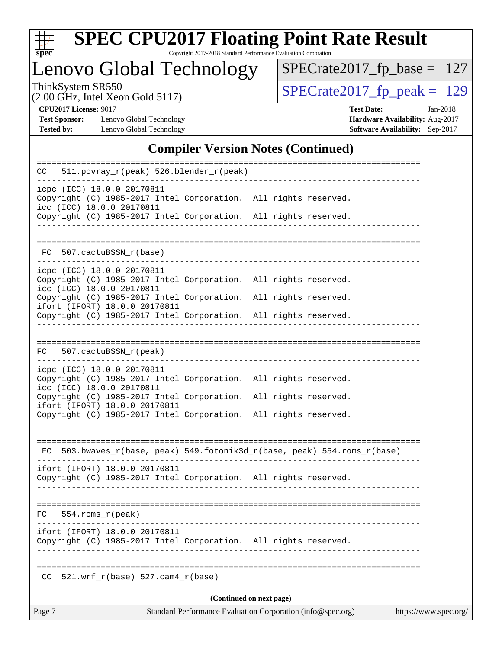

Copyright 2017-2018 Standard Performance Evaluation Corporation

Lenovo Global Technology

ThinkSystem SR550<br>  $(2.00 \text{ GHz})$  Intel Xeon Gold 5117)

[SPECrate2017\\_fp\\_base =](http://www.spec.org/auto/cpu2017/Docs/result-fields.html#SPECrate2017fpbase) 127

(2.00 GHz, Intel Xeon Gold 5117)

**[CPU2017 License:](http://www.spec.org/auto/cpu2017/Docs/result-fields.html#CPU2017License)** 9017 **[Test Date:](http://www.spec.org/auto/cpu2017/Docs/result-fields.html#TestDate)** Jan-2018 **[Test Sponsor:](http://www.spec.org/auto/cpu2017/Docs/result-fields.html#TestSponsor)** Lenovo Global Technology **[Hardware Availability:](http://www.spec.org/auto/cpu2017/Docs/result-fields.html#HardwareAvailability)** Aug-2017 **[Tested by:](http://www.spec.org/auto/cpu2017/Docs/result-fields.html#Testedby)** Lenovo Global Technology **[Software Availability:](http://www.spec.org/auto/cpu2017/Docs/result-fields.html#SoftwareAvailability)** Sep-2017

#### **[Compiler Version Notes \(Continued\)](http://www.spec.org/auto/cpu2017/Docs/result-fields.html#CompilerVersionNotes)**

|     | Standard Performance Evaluation Corporation (info@spec.org)<br>Page 7<br>https://www.spec.org/ |                                                         |  |                                                                 |  |  |                                                                       |  |  |
|-----|------------------------------------------------------------------------------------------------|---------------------------------------------------------|--|-----------------------------------------------------------------|--|--|-----------------------------------------------------------------------|--|--|
|     | (Continued on next page)                                                                       |                                                         |  |                                                                 |  |  |                                                                       |  |  |
| CC  |                                                                                                | $521.wrf_r(base) 527.cam4_r(base)$                      |  |                                                                 |  |  |                                                                       |  |  |
|     |                                                                                                | ifort (IFORT) 18.0.0 20170811                           |  | Copyright (C) 1985-2017 Intel Corporation. All rights reserved. |  |  |                                                                       |  |  |
| FC. |                                                                                                | $554.rows_r (peak)$                                     |  |                                                                 |  |  |                                                                       |  |  |
|     |                                                                                                | ifort (IFORT) 18.0.0 20170811                           |  | Copyright (C) 1985-2017 Intel Corporation. All rights reserved. |  |  |                                                                       |  |  |
| FC  |                                                                                                |                                                         |  |                                                                 |  |  | 503.bwaves_r(base, peak) 549.fotonik3d_r(base, peak) 554.roms_r(base) |  |  |
|     |                                                                                                |                                                         |  |                                                                 |  |  |                                                                       |  |  |
|     |                                                                                                | ifort (IFORT) 18.0.0 20170811                           |  | Copyright (C) 1985-2017 Intel Corporation. All rights reserved. |  |  |                                                                       |  |  |
|     |                                                                                                | icc (ICC) 18.0.0 20170811                               |  | Copyright (C) 1985-2017 Intel Corporation.                      |  |  | All rights reserved.                                                  |  |  |
|     |                                                                                                | icpc (ICC) 18.0.0 20170811                              |  | Copyright (C) 1985-2017 Intel Corporation. All rights reserved. |  |  |                                                                       |  |  |
| FC. |                                                                                                | 507.cactuBSSN_r(peak)                                   |  |                                                                 |  |  |                                                                       |  |  |
|     |                                                                                                |                                                         |  | Copyright (C) 1985-2017 Intel Corporation. All rights reserved. |  |  |                                                                       |  |  |
|     |                                                                                                | ifort (IFORT) 18.0.0 20170811                           |  | Copyright (C) 1985-2017 Intel Corporation. All rights reserved. |  |  |                                                                       |  |  |
|     |                                                                                                | icpc (ICC) 18.0.0 20170811<br>icc (ICC) 18.0.0 20170811 |  | Copyright (C) 1985-2017 Intel Corporation. All rights reserved. |  |  |                                                                       |  |  |
| FC. |                                                                                                | 507.cactuBSSN r(base)                                   |  |                                                                 |  |  |                                                                       |  |  |
|     |                                                                                                |                                                         |  | Copyright (C) 1985-2017 Intel Corporation. All rights reserved. |  |  |                                                                       |  |  |
|     |                                                                                                | icpc (ICC) 18.0.0 20170811<br>icc (ICC) 18.0.0 20170811 |  | Copyright (C) 1985-2017 Intel Corporation. All rights reserved. |  |  |                                                                       |  |  |
| CC  |                                                                                                |                                                         |  | 511.povray_r(peak) 526.blender_r(peak)                          |  |  |                                                                       |  |  |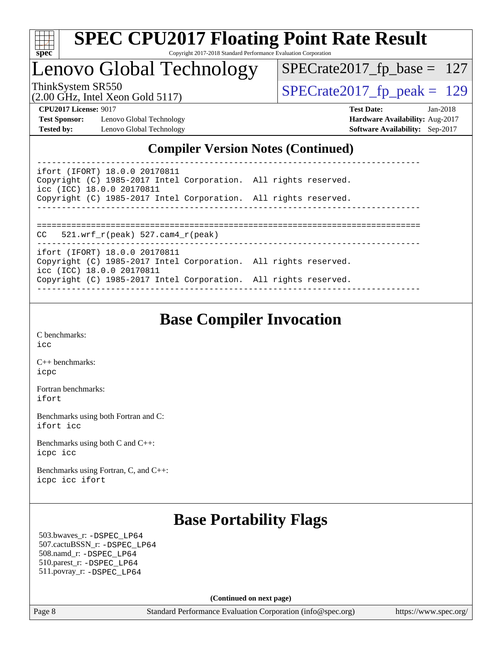

### Lenovo Global Technology

ThinkSystem SR550<br>  $\text{SPECrate2017\_fp\_peak} = 129$ 

[SPECrate2017\\_fp\\_base =](http://www.spec.org/auto/cpu2017/Docs/result-fields.html#SPECrate2017fpbase) 127

(2.00 GHz, Intel Xeon Gold 5117)

**[Test Sponsor:](http://www.spec.org/auto/cpu2017/Docs/result-fields.html#TestSponsor)** Lenovo Global Technology **[Hardware Availability:](http://www.spec.org/auto/cpu2017/Docs/result-fields.html#HardwareAvailability)** Aug-2017 **[Tested by:](http://www.spec.org/auto/cpu2017/Docs/result-fields.html#Testedby)** Lenovo Global Technology **[Software Availability:](http://www.spec.org/auto/cpu2017/Docs/result-fields.html#SoftwareAvailability)** Sep-2017

**[CPU2017 License:](http://www.spec.org/auto/cpu2017/Docs/result-fields.html#CPU2017License)** 9017 **[Test Date:](http://www.spec.org/auto/cpu2017/Docs/result-fields.html#TestDate)** Jan-2018

#### **[Compiler Version Notes \(Continued\)](http://www.spec.org/auto/cpu2017/Docs/result-fields.html#CompilerVersionNotes)**

----------------------------------------------------------------------------- ifort (IFORT) 18.0.0 20170811 Copyright (C) 1985-2017 Intel Corporation. All rights reserved. icc (ICC) 18.0.0 20170811 Copyright (C) 1985-2017 Intel Corporation. All rights reserved. ------------------------------------------------------------------------------

==============================================================================

CC 521.wrf\_r(peak) 527.cam4\_r(peak)

ifort (IFORT) 18.0.0 20170811

Copyright (C) 1985-2017 Intel Corporation. All rights reserved. icc (ICC) 18.0.0 20170811 Copyright (C) 1985-2017 Intel Corporation. All rights reserved. ------------------------------------------------------------------------------

### **[Base Compiler Invocation](http://www.spec.org/auto/cpu2017/Docs/result-fields.html#BaseCompilerInvocation)**

------------------------------------------------------------------------------

[C benchmarks](http://www.spec.org/auto/cpu2017/Docs/result-fields.html#Cbenchmarks): [icc](http://www.spec.org/cpu2017/results/res2018q1/cpu2017-20180122-03071.flags.html#user_CCbase_intel_icc_18.0_66fc1ee009f7361af1fbd72ca7dcefbb700085f36577c54f309893dd4ec40d12360134090235512931783d35fd58c0460139e722d5067c5574d8eaf2b3e37e92)

[C++ benchmarks:](http://www.spec.org/auto/cpu2017/Docs/result-fields.html#CXXbenchmarks) [icpc](http://www.spec.org/cpu2017/results/res2018q1/cpu2017-20180122-03071.flags.html#user_CXXbase_intel_icpc_18.0_c510b6838c7f56d33e37e94d029a35b4a7bccf4766a728ee175e80a419847e808290a9b78be685c44ab727ea267ec2f070ec5dc83b407c0218cded6866a35d07)

[Fortran benchmarks](http://www.spec.org/auto/cpu2017/Docs/result-fields.html#Fortranbenchmarks): [ifort](http://www.spec.org/cpu2017/results/res2018q1/cpu2017-20180122-03071.flags.html#user_FCbase_intel_ifort_18.0_8111460550e3ca792625aed983ce982f94888b8b503583aa7ba2b8303487b4d8a21a13e7191a45c5fd58ff318f48f9492884d4413fa793fd88dd292cad7027ca)

[Benchmarks using both Fortran and C](http://www.spec.org/auto/cpu2017/Docs/result-fields.html#BenchmarksusingbothFortranandC): [ifort](http://www.spec.org/cpu2017/results/res2018q1/cpu2017-20180122-03071.flags.html#user_CC_FCbase_intel_ifort_18.0_8111460550e3ca792625aed983ce982f94888b8b503583aa7ba2b8303487b4d8a21a13e7191a45c5fd58ff318f48f9492884d4413fa793fd88dd292cad7027ca) [icc](http://www.spec.org/cpu2017/results/res2018q1/cpu2017-20180122-03071.flags.html#user_CC_FCbase_intel_icc_18.0_66fc1ee009f7361af1fbd72ca7dcefbb700085f36577c54f309893dd4ec40d12360134090235512931783d35fd58c0460139e722d5067c5574d8eaf2b3e37e92)

[Benchmarks using both C and C++](http://www.spec.org/auto/cpu2017/Docs/result-fields.html#BenchmarksusingbothCandCXX): [icpc](http://www.spec.org/cpu2017/results/res2018q1/cpu2017-20180122-03071.flags.html#user_CC_CXXbase_intel_icpc_18.0_c510b6838c7f56d33e37e94d029a35b4a7bccf4766a728ee175e80a419847e808290a9b78be685c44ab727ea267ec2f070ec5dc83b407c0218cded6866a35d07) [icc](http://www.spec.org/cpu2017/results/res2018q1/cpu2017-20180122-03071.flags.html#user_CC_CXXbase_intel_icc_18.0_66fc1ee009f7361af1fbd72ca7dcefbb700085f36577c54f309893dd4ec40d12360134090235512931783d35fd58c0460139e722d5067c5574d8eaf2b3e37e92)

[Benchmarks using Fortran, C, and C++:](http://www.spec.org/auto/cpu2017/Docs/result-fields.html#BenchmarksusingFortranCandCXX) [icpc](http://www.spec.org/cpu2017/results/res2018q1/cpu2017-20180122-03071.flags.html#user_CC_CXX_FCbase_intel_icpc_18.0_c510b6838c7f56d33e37e94d029a35b4a7bccf4766a728ee175e80a419847e808290a9b78be685c44ab727ea267ec2f070ec5dc83b407c0218cded6866a35d07) [icc](http://www.spec.org/cpu2017/results/res2018q1/cpu2017-20180122-03071.flags.html#user_CC_CXX_FCbase_intel_icc_18.0_66fc1ee009f7361af1fbd72ca7dcefbb700085f36577c54f309893dd4ec40d12360134090235512931783d35fd58c0460139e722d5067c5574d8eaf2b3e37e92) [ifort](http://www.spec.org/cpu2017/results/res2018q1/cpu2017-20180122-03071.flags.html#user_CC_CXX_FCbase_intel_ifort_18.0_8111460550e3ca792625aed983ce982f94888b8b503583aa7ba2b8303487b4d8a21a13e7191a45c5fd58ff318f48f9492884d4413fa793fd88dd292cad7027ca)

### **[Base Portability Flags](http://www.spec.org/auto/cpu2017/Docs/result-fields.html#BasePortabilityFlags)**

 503.bwaves\_r: [-DSPEC\\_LP64](http://www.spec.org/cpu2017/results/res2018q1/cpu2017-20180122-03071.flags.html#suite_basePORTABILITY503_bwaves_r_DSPEC_LP64) 507.cactuBSSN\_r: [-DSPEC\\_LP64](http://www.spec.org/cpu2017/results/res2018q1/cpu2017-20180122-03071.flags.html#suite_basePORTABILITY507_cactuBSSN_r_DSPEC_LP64) 508.namd\_r: [-DSPEC\\_LP64](http://www.spec.org/cpu2017/results/res2018q1/cpu2017-20180122-03071.flags.html#suite_basePORTABILITY508_namd_r_DSPEC_LP64) 510.parest\_r: [-DSPEC\\_LP64](http://www.spec.org/cpu2017/results/res2018q1/cpu2017-20180122-03071.flags.html#suite_basePORTABILITY510_parest_r_DSPEC_LP64) 511.povray\_r: [-DSPEC\\_LP64](http://www.spec.org/cpu2017/results/res2018q1/cpu2017-20180122-03071.flags.html#suite_basePORTABILITY511_povray_r_DSPEC_LP64)

**(Continued on next page)**

Page 8 Standard Performance Evaluation Corporation [\(info@spec.org\)](mailto:info@spec.org) <https://www.spec.org/>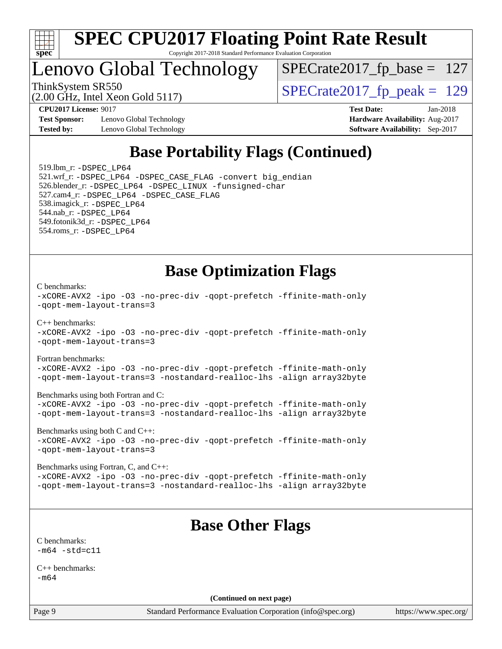

### Lenovo Global Technology

[SPECrate2017\\_fp\\_base =](http://www.spec.org/auto/cpu2017/Docs/result-fields.html#SPECrate2017fpbase) 127

(2.00 GHz, Intel Xeon Gold 5117)

ThinkSystem SR550<br>  $\overline{SPECrate2017}$  fp\_peak = 129

**[Test Sponsor:](http://www.spec.org/auto/cpu2017/Docs/result-fields.html#TestSponsor)** Lenovo Global Technology **[Hardware Availability:](http://www.spec.org/auto/cpu2017/Docs/result-fields.html#HardwareAvailability)** Aug-2017 **[Tested by:](http://www.spec.org/auto/cpu2017/Docs/result-fields.html#Testedby)** Lenovo Global Technology **[Software Availability:](http://www.spec.org/auto/cpu2017/Docs/result-fields.html#SoftwareAvailability)** Sep-2017

**[CPU2017 License:](http://www.spec.org/auto/cpu2017/Docs/result-fields.html#CPU2017License)** 9017 **[Test Date:](http://www.spec.org/auto/cpu2017/Docs/result-fields.html#TestDate)** Jan-2018

### **[Base Portability Flags \(Continued\)](http://www.spec.org/auto/cpu2017/Docs/result-fields.html#BasePortabilityFlags)**

 519.lbm\_r: [-DSPEC\\_LP64](http://www.spec.org/cpu2017/results/res2018q1/cpu2017-20180122-03071.flags.html#suite_basePORTABILITY519_lbm_r_DSPEC_LP64) 521.wrf\_r: [-DSPEC\\_LP64](http://www.spec.org/cpu2017/results/res2018q1/cpu2017-20180122-03071.flags.html#suite_basePORTABILITY521_wrf_r_DSPEC_LP64) [-DSPEC\\_CASE\\_FLAG](http://www.spec.org/cpu2017/results/res2018q1/cpu2017-20180122-03071.flags.html#b521.wrf_r_baseCPORTABILITY_DSPEC_CASE_FLAG) [-convert big\\_endian](http://www.spec.org/cpu2017/results/res2018q1/cpu2017-20180122-03071.flags.html#user_baseFPORTABILITY521_wrf_r_convert_big_endian_c3194028bc08c63ac5d04de18c48ce6d347e4e562e8892b8bdbdc0214820426deb8554edfa529a3fb25a586e65a3d812c835984020483e7e73212c4d31a38223) 526.blender\_r: [-DSPEC\\_LP64](http://www.spec.org/cpu2017/results/res2018q1/cpu2017-20180122-03071.flags.html#suite_basePORTABILITY526_blender_r_DSPEC_LP64) [-DSPEC\\_LINUX](http://www.spec.org/cpu2017/results/res2018q1/cpu2017-20180122-03071.flags.html#b526.blender_r_baseCPORTABILITY_DSPEC_LINUX) [-funsigned-char](http://www.spec.org/cpu2017/results/res2018q1/cpu2017-20180122-03071.flags.html#user_baseCPORTABILITY526_blender_r_force_uchar_40c60f00ab013830e2dd6774aeded3ff59883ba5a1fc5fc14077f794d777847726e2a5858cbc7672e36e1b067e7e5c1d9a74f7176df07886a243d7cc18edfe67) 527.cam4\_r: [-DSPEC\\_LP64](http://www.spec.org/cpu2017/results/res2018q1/cpu2017-20180122-03071.flags.html#suite_basePORTABILITY527_cam4_r_DSPEC_LP64) [-DSPEC\\_CASE\\_FLAG](http://www.spec.org/cpu2017/results/res2018q1/cpu2017-20180122-03071.flags.html#b527.cam4_r_baseCPORTABILITY_DSPEC_CASE_FLAG) 538.imagick\_r: [-DSPEC\\_LP64](http://www.spec.org/cpu2017/results/res2018q1/cpu2017-20180122-03071.flags.html#suite_basePORTABILITY538_imagick_r_DSPEC_LP64) 544.nab\_r: [-DSPEC\\_LP64](http://www.spec.org/cpu2017/results/res2018q1/cpu2017-20180122-03071.flags.html#suite_basePORTABILITY544_nab_r_DSPEC_LP64) 549.fotonik3d\_r: [-DSPEC\\_LP64](http://www.spec.org/cpu2017/results/res2018q1/cpu2017-20180122-03071.flags.html#suite_basePORTABILITY549_fotonik3d_r_DSPEC_LP64) 554.roms\_r: [-DSPEC\\_LP64](http://www.spec.org/cpu2017/results/res2018q1/cpu2017-20180122-03071.flags.html#suite_basePORTABILITY554_roms_r_DSPEC_LP64)

**[Base Optimization Flags](http://www.spec.org/auto/cpu2017/Docs/result-fields.html#BaseOptimizationFlags)**

[C benchmarks](http://www.spec.org/auto/cpu2017/Docs/result-fields.html#Cbenchmarks):

```
-xCORE-AVX2 -ipo -O3 -no-prec-div -qopt-prefetch -ffinite-math-only
-qopt-mem-layout-trans=3
C++ benchmarks: 
-xCORE-AVX2 -ipo -O3 -no-prec-div -qopt-prefetch -ffinite-math-only
-qopt-mem-layout-trans=3
Fortran benchmarks: 
-xCORE-AVX2 -ipo -O3 -no-prec-div -qopt-prefetch -ffinite-math-only
-qopt-mem-layout-trans=3 -nostandard-realloc-lhs -align array32byte
Benchmarks using both Fortran and C: 
-xCORE-AVX2 -ipo -O3 -no-prec-div -qopt-prefetch -ffinite-math-only
-qopt-mem-layout-trans=3 -nostandard-realloc-lhs -align array32byte
Benchmarks using both C and C++: 
-xCORE-AVX2 -ipo -O3 -no-prec-div -qopt-prefetch -ffinite-math-only
-qopt-mem-layout-trans=3
```
[Benchmarks using Fortran, C, and C++:](http://www.spec.org/auto/cpu2017/Docs/result-fields.html#BenchmarksusingFortranCandCXX) [-xCORE-AVX2](http://www.spec.org/cpu2017/results/res2018q1/cpu2017-20180122-03071.flags.html#user_CC_CXX_FCbase_f-xCORE-AVX2) [-ipo](http://www.spec.org/cpu2017/results/res2018q1/cpu2017-20180122-03071.flags.html#user_CC_CXX_FCbase_f-ipo) [-O3](http://www.spec.org/cpu2017/results/res2018q1/cpu2017-20180122-03071.flags.html#user_CC_CXX_FCbase_f-O3) [-no-prec-div](http://www.spec.org/cpu2017/results/res2018q1/cpu2017-20180122-03071.flags.html#user_CC_CXX_FCbase_f-no-prec-div) [-qopt-prefetch](http://www.spec.org/cpu2017/results/res2018q1/cpu2017-20180122-03071.flags.html#user_CC_CXX_FCbase_f-qopt-prefetch) [-ffinite-math-only](http://www.spec.org/cpu2017/results/res2018q1/cpu2017-20180122-03071.flags.html#user_CC_CXX_FCbase_f_finite_math_only_cb91587bd2077682c4b38af759c288ed7c732db004271a9512da14a4f8007909a5f1427ecbf1a0fb78ff2a814402c6114ac565ca162485bbcae155b5e4258871) [-qopt-mem-layout-trans=3](http://www.spec.org/cpu2017/results/res2018q1/cpu2017-20180122-03071.flags.html#user_CC_CXX_FCbase_f-qopt-mem-layout-trans_de80db37974c74b1f0e20d883f0b675c88c3b01e9d123adea9b28688d64333345fb62bc4a798493513fdb68f60282f9a726aa07f478b2f7113531aecce732043) [-nostandard-realloc-lhs](http://www.spec.org/cpu2017/results/res2018q1/cpu2017-20180122-03071.flags.html#user_CC_CXX_FCbase_f_2003_std_realloc_82b4557e90729c0f113870c07e44d33d6f5a304b4f63d4c15d2d0f1fab99f5daaed73bdb9275d9ae411527f28b936061aa8b9c8f2d63842963b95c9dd6426b8a) [-align array32byte](http://www.spec.org/cpu2017/results/res2018q1/cpu2017-20180122-03071.flags.html#user_CC_CXX_FCbase_align_array32byte_b982fe038af199962ba9a80c053b8342c548c85b40b8e86eb3cc33dee0d7986a4af373ac2d51c3f7cf710a18d62fdce2948f201cd044323541f22fc0fffc51b6)

### **[Base Other Flags](http://www.spec.org/auto/cpu2017/Docs/result-fields.html#BaseOtherFlags)**

[C benchmarks](http://www.spec.org/auto/cpu2017/Docs/result-fields.html#Cbenchmarks):  $-m64 - std = c11$  $-m64 - std = c11$ 

[C++ benchmarks:](http://www.spec.org/auto/cpu2017/Docs/result-fields.html#CXXbenchmarks) [-m64](http://www.spec.org/cpu2017/results/res2018q1/cpu2017-20180122-03071.flags.html#user_CXXbase_intel_intel64_18.0_af43caccfc8ded86e7699f2159af6efc7655f51387b94da716254467f3c01020a5059329e2569e4053f409e7c9202a7efc638f7a6d1ffb3f52dea4a3e31d82ab)

**(Continued on next page)**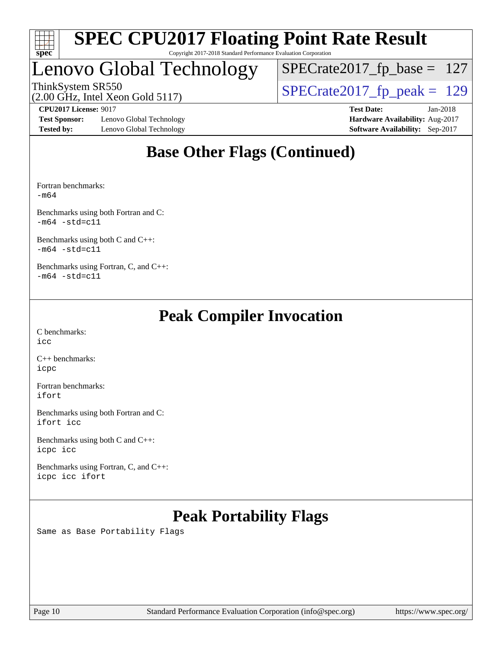

### Lenovo Global Technology

[SPECrate2017\\_fp\\_base =](http://www.spec.org/auto/cpu2017/Docs/result-fields.html#SPECrate2017fpbase) 127

(2.00 GHz, Intel Xeon Gold 5117)

ThinkSystem SR550<br>(2.00 GHz, Intel Xeon Gold 5117) [SPECrate2017\\_fp\\_peak =](http://www.spec.org/auto/cpu2017/Docs/result-fields.html#SPECrate2017fppeak) 129

**[Test Sponsor:](http://www.spec.org/auto/cpu2017/Docs/result-fields.html#TestSponsor)** Lenovo Global Technology **[Hardware Availability:](http://www.spec.org/auto/cpu2017/Docs/result-fields.html#HardwareAvailability)** Aug-2017 **[Tested by:](http://www.spec.org/auto/cpu2017/Docs/result-fields.html#Testedby)** Lenovo Global Technology **[Software Availability:](http://www.spec.org/auto/cpu2017/Docs/result-fields.html#SoftwareAvailability)** Sep-2017

**[CPU2017 License:](http://www.spec.org/auto/cpu2017/Docs/result-fields.html#CPU2017License)** 9017 **[Test Date:](http://www.spec.org/auto/cpu2017/Docs/result-fields.html#TestDate)** Jan-2018

### **[Base Other Flags \(Continued\)](http://www.spec.org/auto/cpu2017/Docs/result-fields.html#BaseOtherFlags)**

[Fortran benchmarks](http://www.spec.org/auto/cpu2017/Docs/result-fields.html#Fortranbenchmarks): [-m64](http://www.spec.org/cpu2017/results/res2018q1/cpu2017-20180122-03071.flags.html#user_FCbase_intel_intel64_18.0_af43caccfc8ded86e7699f2159af6efc7655f51387b94da716254467f3c01020a5059329e2569e4053f409e7c9202a7efc638f7a6d1ffb3f52dea4a3e31d82ab)

[Benchmarks using both Fortran and C](http://www.spec.org/auto/cpu2017/Docs/result-fields.html#BenchmarksusingbothFortranandC):  $-m64 - std= c11$  $-m64 - std= c11$ 

[Benchmarks using both C and C++](http://www.spec.org/auto/cpu2017/Docs/result-fields.html#BenchmarksusingbothCandCXX):  $-m64 - std= c11$  $-m64 - std= c11$ 

[Benchmarks using Fortran, C, and C++:](http://www.spec.org/auto/cpu2017/Docs/result-fields.html#BenchmarksusingFortranCandCXX)  $-m64 - std= c11$  $-m64 - std= c11$ 

### **[Peak Compiler Invocation](http://www.spec.org/auto/cpu2017/Docs/result-fields.html#PeakCompilerInvocation)**

[C benchmarks](http://www.spec.org/auto/cpu2017/Docs/result-fields.html#Cbenchmarks): [icc](http://www.spec.org/cpu2017/results/res2018q1/cpu2017-20180122-03071.flags.html#user_CCpeak_intel_icc_18.0_66fc1ee009f7361af1fbd72ca7dcefbb700085f36577c54f309893dd4ec40d12360134090235512931783d35fd58c0460139e722d5067c5574d8eaf2b3e37e92)

[C++ benchmarks:](http://www.spec.org/auto/cpu2017/Docs/result-fields.html#CXXbenchmarks) [icpc](http://www.spec.org/cpu2017/results/res2018q1/cpu2017-20180122-03071.flags.html#user_CXXpeak_intel_icpc_18.0_c510b6838c7f56d33e37e94d029a35b4a7bccf4766a728ee175e80a419847e808290a9b78be685c44ab727ea267ec2f070ec5dc83b407c0218cded6866a35d07)

[Fortran benchmarks](http://www.spec.org/auto/cpu2017/Docs/result-fields.html#Fortranbenchmarks): [ifort](http://www.spec.org/cpu2017/results/res2018q1/cpu2017-20180122-03071.flags.html#user_FCpeak_intel_ifort_18.0_8111460550e3ca792625aed983ce982f94888b8b503583aa7ba2b8303487b4d8a21a13e7191a45c5fd58ff318f48f9492884d4413fa793fd88dd292cad7027ca)

[Benchmarks using both Fortran and C](http://www.spec.org/auto/cpu2017/Docs/result-fields.html#BenchmarksusingbothFortranandC): [ifort](http://www.spec.org/cpu2017/results/res2018q1/cpu2017-20180122-03071.flags.html#user_CC_FCpeak_intel_ifort_18.0_8111460550e3ca792625aed983ce982f94888b8b503583aa7ba2b8303487b4d8a21a13e7191a45c5fd58ff318f48f9492884d4413fa793fd88dd292cad7027ca) [icc](http://www.spec.org/cpu2017/results/res2018q1/cpu2017-20180122-03071.flags.html#user_CC_FCpeak_intel_icc_18.0_66fc1ee009f7361af1fbd72ca7dcefbb700085f36577c54f309893dd4ec40d12360134090235512931783d35fd58c0460139e722d5067c5574d8eaf2b3e37e92)

[Benchmarks using both C and C++](http://www.spec.org/auto/cpu2017/Docs/result-fields.html#BenchmarksusingbothCandCXX): [icpc](http://www.spec.org/cpu2017/results/res2018q1/cpu2017-20180122-03071.flags.html#user_CC_CXXpeak_intel_icpc_18.0_c510b6838c7f56d33e37e94d029a35b4a7bccf4766a728ee175e80a419847e808290a9b78be685c44ab727ea267ec2f070ec5dc83b407c0218cded6866a35d07) [icc](http://www.spec.org/cpu2017/results/res2018q1/cpu2017-20180122-03071.flags.html#user_CC_CXXpeak_intel_icc_18.0_66fc1ee009f7361af1fbd72ca7dcefbb700085f36577c54f309893dd4ec40d12360134090235512931783d35fd58c0460139e722d5067c5574d8eaf2b3e37e92)

[Benchmarks using Fortran, C, and C++:](http://www.spec.org/auto/cpu2017/Docs/result-fields.html#BenchmarksusingFortranCandCXX) [icpc](http://www.spec.org/cpu2017/results/res2018q1/cpu2017-20180122-03071.flags.html#user_CC_CXX_FCpeak_intel_icpc_18.0_c510b6838c7f56d33e37e94d029a35b4a7bccf4766a728ee175e80a419847e808290a9b78be685c44ab727ea267ec2f070ec5dc83b407c0218cded6866a35d07) [icc](http://www.spec.org/cpu2017/results/res2018q1/cpu2017-20180122-03071.flags.html#user_CC_CXX_FCpeak_intel_icc_18.0_66fc1ee009f7361af1fbd72ca7dcefbb700085f36577c54f309893dd4ec40d12360134090235512931783d35fd58c0460139e722d5067c5574d8eaf2b3e37e92) [ifort](http://www.spec.org/cpu2017/results/res2018q1/cpu2017-20180122-03071.flags.html#user_CC_CXX_FCpeak_intel_ifort_18.0_8111460550e3ca792625aed983ce982f94888b8b503583aa7ba2b8303487b4d8a21a13e7191a45c5fd58ff318f48f9492884d4413fa793fd88dd292cad7027ca)

### **[Peak Portability Flags](http://www.spec.org/auto/cpu2017/Docs/result-fields.html#PeakPortabilityFlags)**

Same as Base Portability Flags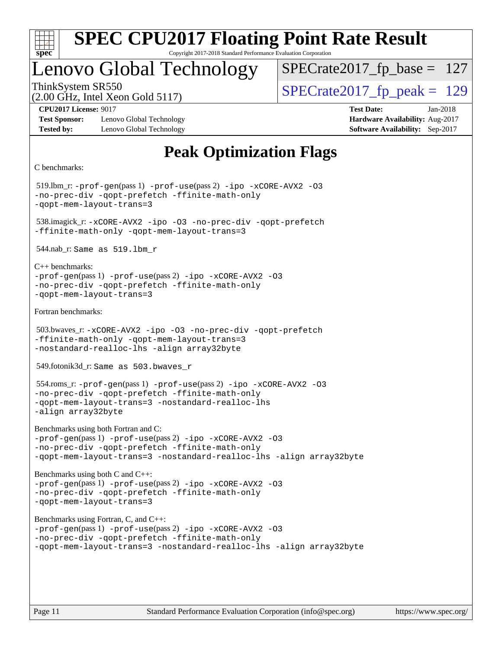

Copyright 2017-2018 Standard Performance Evaluation Corporation

### Lenovo Global Technology

ThinkSystem SR550<br>(2.00 GHz, Intel Xeon Gold 5117) [SPECrate2017\\_fp\\_peak =](http://www.spec.org/auto/cpu2017/Docs/result-fields.html#SPECrate2017fppeak) 129 [SPECrate2017\\_fp\\_base =](http://www.spec.org/auto/cpu2017/Docs/result-fields.html#SPECrate2017fpbase) 127

(2.00 GHz, Intel Xeon Gold 5117)

**[Test Sponsor:](http://www.spec.org/auto/cpu2017/Docs/result-fields.html#TestSponsor)** Lenovo Global Technology **[Hardware Availability:](http://www.spec.org/auto/cpu2017/Docs/result-fields.html#HardwareAvailability)** Aug-2017 **[Tested by:](http://www.spec.org/auto/cpu2017/Docs/result-fields.html#Testedby)** Lenovo Global Technology **[Software Availability:](http://www.spec.org/auto/cpu2017/Docs/result-fields.html#SoftwareAvailability)** Sep-2017

**[CPU2017 License:](http://www.spec.org/auto/cpu2017/Docs/result-fields.html#CPU2017License)** 9017 **[Test Date:](http://www.spec.org/auto/cpu2017/Docs/result-fields.html#TestDate)** Jan-2018

### **[Peak Optimization Flags](http://www.spec.org/auto/cpu2017/Docs/result-fields.html#PeakOptimizationFlags)**

```
C benchmarks:
```

```
 519.lbm_r: -prof-gen(pass 1) -prof-use(pass 2) -ipo -xCORE-AVX2 -O3
-no-prec-div -qopt-prefetch -ffinite-math-only
-qopt-mem-layout-trans=3
 538.imagick_r: -xCORE-AVX2 -ipo -O3 -no-prec-div -qopt-prefetch
-ffinite-math-only -qopt-mem-layout-trans=3
 544.nab_r: Same as 519.lbm_r
C++ benchmarks: 
-prof-gen(pass 1) -prof-use(pass 2) -ipo -xCORE-AVX2 -O3
-no-prec-div -qopt-prefetch -ffinite-math-only
-qopt-mem-layout-trans=3
Fortran benchmarks: 
 503.bwaves_r: -xCORE-AVX2 -ipo -O3 -no-prec-div -qopt-prefetch
-ffinite-math-only -qopt-mem-layout-trans=3
-nostandard-realloc-lhs -align array32byte
 549.fotonik3d_r: Same as 503.bwaves_r
 554.roms_r: -prof-gen(pass 1) -prof-use(pass 2) -ipo -xCORE-AVX2 -O3
-no-prec-div -qopt-prefetch -ffinite-math-only
-qopt-mem-layout-trans=3 -nostandard-realloc-lhs
-align array32byte
Benchmarks using both Fortran and C: 
-prof-gen(pass 1) -prof-use(pass 2) -ipo -xCORE-AVX2 -O3
-no-prec-div -qopt-prefetch -ffinite-math-only
-qopt-mem-layout-trans=3 -nostandard-realloc-lhs -align array32byte
Benchmarks using both C and C++: 
-prof-gen(pass 1) -prof-use(pass 2) -ipo -xCORE-AVX2 -O3
-no-prec-div -qopt-prefetch -ffinite-math-only
-qopt-mem-layout-trans=3
Benchmarks using Fortran, C, and C++: 
-prof-gen(pass 1) -prof-use(pass 2) -ipo -xCORE-AVX2 -O3
-no-prec-div -qopt-prefetch -ffinite-math-only
-qopt-mem-layout-trans=3 -nostandard-realloc-lhs -align array32byte
```